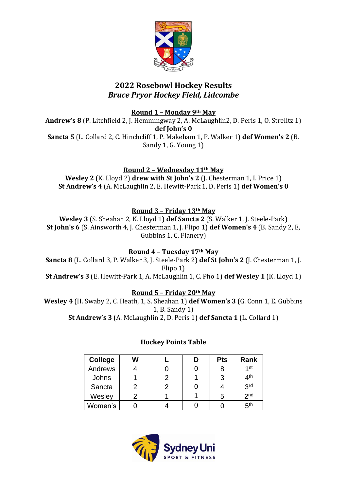

## **2022 Rosebowl Hockey Results** *Bruce Pryor Hockey Field, Lidcombe*

**Round 1 – Monday 9th May**

**Andrew's 8** (P. Litchfield 2, J. Hemmingway 2, A. McLaughlin2, D. Peris 1, O. Strelitz 1) **def John's 0 Sancta 5** (L. Collard 2, C. Hinchcliff 1, P. Makeham 1, P. Walker 1) **def Women's 2** (B. Sandy 1, G. Young 1)

**Round 2 – Wednesday 11th May**

**Wesley 2** (K. Lloyd 2) **drew with St John's 2** (J. Chesterman 1, I. Price 1) **St Andrew's 4** (A. McLaughlin 2, E. Hewitt-Park 1, D. Peris 1) **def Women's 0**

**Round 3 – Friday 13th May**

**Wesley 3** (S. Sheahan 2, K. Lloyd 1) **def Sancta 2** (S. Walker 1, J. Steele-Park) **St John's 6** (S. Ainsworth 4, J. Chesterman 1, J. Flipo 1) **def Women's 4** (B. Sandy 2, E, Gubbins 1, C. Flanery)

**Round 4 – Tuesday 17th May**

**Sancta 8** (L. Collard 3, P. Walker 3, J. Steele-Park 2) **def St John's 2** (J. Chesterman 1, J. Flipo 1) **St Andrew's 3** (E. Hewitt-Park 1, A. McLaughlin 1, C. Pho 1) **def Wesley 1** (K. Lloyd 1)

**Round 5 – Friday 20th May**

**Wesley 4** (H. Swaby 2, C. Heath, 1, S. Sheahan 1) **def Women's 3** (G. Conn 1, E. Gubbins 1, B. Sandy 1) **St Andrew's 3** (A. McLaughlin 2, D. Peris 1) **def Sancta 1** (L. Collard 1)

## **Hockey Points Table**

| <b>College</b> | W |  | <b>Pts</b> | Rank            |
|----------------|---|--|------------|-----------------|
| Andrews        |   |  |            | 4 <sub>st</sub> |
| Johns          |   |  |            | 4 <sup>th</sup> |
| Sancta         |   |  |            | 3 <sup>rd</sup> |
| Wesley         |   |  | 5          | 2 <sub>nd</sub> |
| Women's        |   |  |            | 5 <sup>th</sup> |